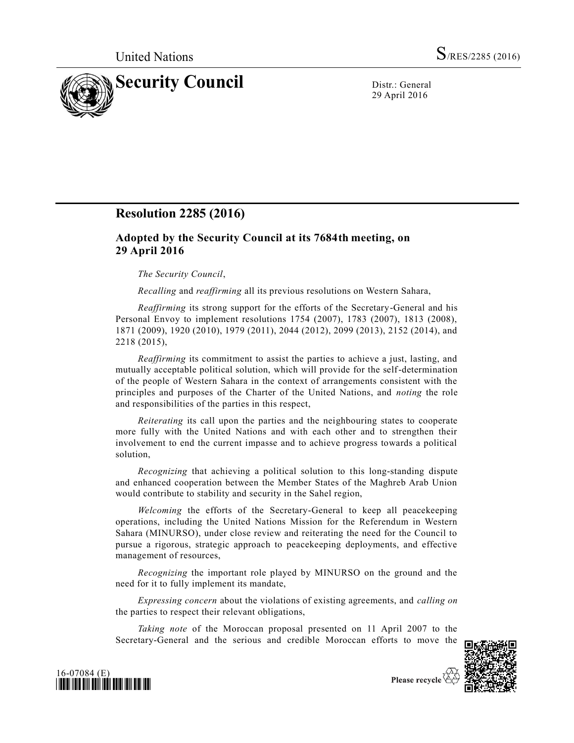

29 April 2016

## **Resolution 2285 (2016)**

## **Adopted by the Security Council at its 7684th meeting, on 29 April 2016**

## *The Security Council*,

*Recalling* and *reaffirming* all its previous resolutions on Western Sahara,

*Reaffirming* its strong support for the efforts of the Secretary-General and his Personal Envoy to implement resolutions 1754 (2007), 1783 (2007), 1813 (2008), 1871 (2009), 1920 (2010), 1979 (2011), 2044 (2012), 2099 (2013), 2152 (2014), and 2218 (2015),

*Reaffirming* its commitment to assist the parties to achieve a just, lasting, and mutually acceptable political solution, which will provide for the self-determination of the people of Western Sahara in the context of arrangements consistent with the principles and purposes of the Charter of the United Nations, and *noting* the role and responsibilities of the parties in this respect,

*Reiterating* its call upon the parties and the neighbouring states to cooperate more fully with the United Nations and with each other and to strengthen their involvement to end the current impasse and to achieve progress towards a political solution,

*Recognizing* that achieving a political solution to this long-standing dispute and enhanced cooperation between the Member States of the Maghreb Arab Union would contribute to stability and security in the Sahel region,

*Welcoming* the efforts of the Secretary-General to keep all peacekeeping operations, including the United Nations Mission for the Referendum in Western Sahara (MINURSO), under close review and reiterating the need for the Council to pursue a rigorous, strategic approach to peacekeeping deployments, and effective management of resources,

*Recognizing* the important role played by MINURSO on the ground and the need for it to fully implement its mandate,

*Expressing concern* about the violations of existing agreements, and *calling on* the parties to respect their relevant obligations,

*Taking note* of the Moroccan proposal presented on 11 April 2007 to the Secretary-General and the serious and credible Moroccan efforts to move the





Please recycle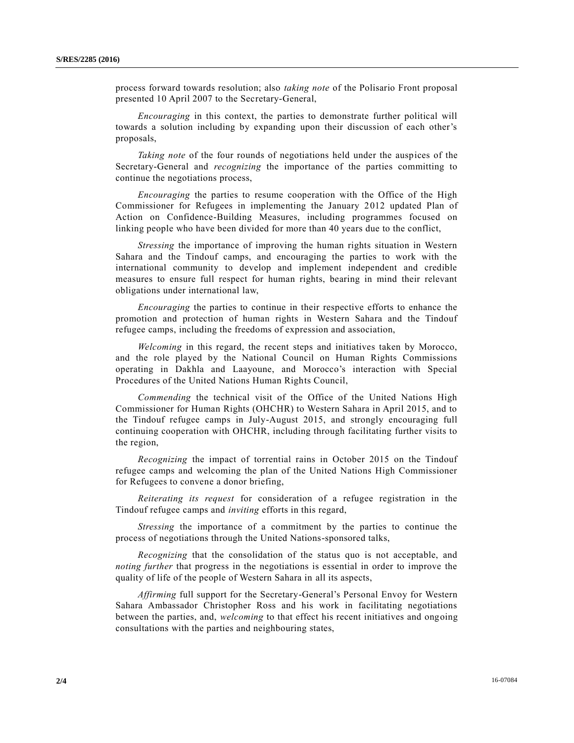process forward towards resolution; also *taking note* of the Polisario Front proposal presented 10 April 2007 to the Secretary-General,

*Encouraging* in this context, the parties to demonstrate further political will towards a solution including by expanding upon their discussion of each other's proposals,

*Taking note* of the four rounds of negotiations held under the auspices of the Secretary-General and *recognizing* the importance of the parties committing to continue the negotiations process,

*Encouraging* the parties to resume cooperation with the Office of the High Commissioner for Refugees in implementing the January 2012 updated Plan of Action on Confidence-Building Measures, including programmes focused on linking people who have been divided for more than 40 years due to the conflict,

*Stressing* the importance of improving the human rights situation in Western Sahara and the Tindouf camps, and encouraging the parties to work with the international community to develop and implement independent and credible measures to ensure full respect for human rights, bearing in mind their relevant obligations under international law,

*Encouraging* the parties to continue in their respective efforts to enhance the promotion and protection of human rights in Western Sahara and the Tindouf refugee camps, including the freedoms of expression and association,

*Welcoming* in this regard, the recent steps and initiatives taken by Morocco, and the role played by the National Council on Human Rights Commissions operating in Dakhla and Laayoune, and Morocco's interaction with Special Procedures of the United Nations Human Rights Council,

*Commending* the technical visit of the Office of the United Nations High Commissioner for Human Rights (OHCHR) to Western Sahara in April 2015, and to the Tindouf refugee camps in July-August 2015, and strongly encouraging full continuing cooperation with OHCHR, including through facilitating further visits to the region,

*Recognizing* the impact of torrential rains in October 2015 on the Tindouf refugee camps and welcoming the plan of the United Nations High Commissioner for Refugees to convene a donor briefing,

*Reiterating its request* for consideration of a refugee registration in the Tindouf refugee camps and *inviting* efforts in this regard,

*Stressing* the importance of a commitment by the parties to continue the process of negotiations through the United Nations-sponsored talks,

*Recognizing* that the consolidation of the status quo is not acceptable, and *noting further* that progress in the negotiations is essential in order to improve the quality of life of the people of Western Sahara in all its aspects,

*Affirming* full support for the Secretary-General's Personal Envoy for Western Sahara Ambassador Christopher Ross and his work in facilitating negotiations between the parties, and, *welcoming* to that effect his recent initiatives and ongoing consultations with the parties and neighbouring states,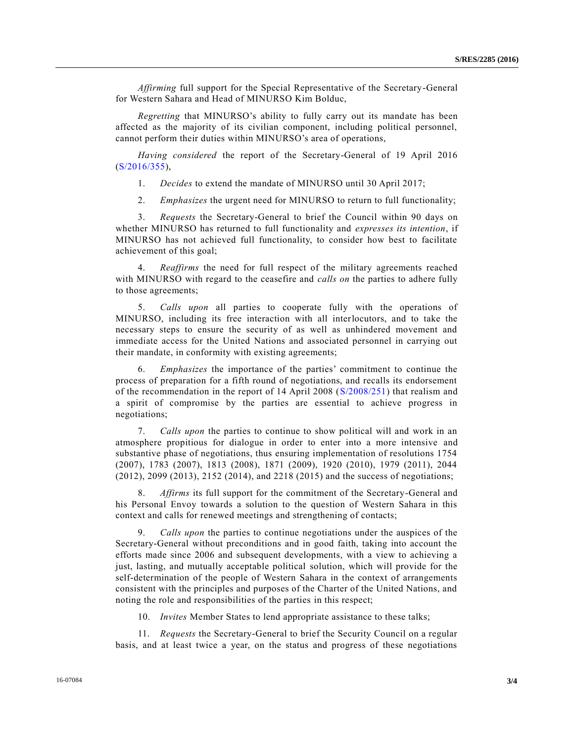*Affirming* full support for the Special Representative of the Secretary-General for Western Sahara and Head of MINURSO Kim Bolduc,

*Regretting* that MINURSO's ability to fully carry out its mandate has been affected as the majority of its civilian component, including political personnel, cannot perform their duties within MINURSO's area of operations,

*Having considered* the report of the Secretary-General of 19 April 2016 [\(S/2016/355\)](http://undocs.org/S/2016/355),

1. *Decides* to extend the mandate of MINURSO until 30 April 2017;

2. *Emphasizes* the urgent need for MINURSO to return to full functionality;

3. *Requests* the Secretary-General to brief the Council within 90 days on whether MINURSO has returned to full functionality and *expresses its intention*, if MINURSO has not achieved full functionality, to consider how best to facilitate achievement of this goal;

4. *Reaffirms* the need for full respect of the military agreements reached with MINURSO with regard to the ceasefire and *calls on* the parties to adhere fully to those agreements;

5. *Calls upon* all parties to cooperate fully with the operations of MINURSO, including its free interaction with all interlocutors, and to take the necessary steps to ensure the security of as well as unhindered movement and immediate access for the United Nations and associated personnel in carrying out their mandate, in conformity with existing agreements;

6. *Emphasizes* the importance of the parties' commitment to continue the process of preparation for a fifth round of negotiations, and recalls its endorsement of the recommendation in the report of 14 April 2008 [\(S/2008/251\)](http://undocs.org/S/2008/251) that realism and a spirit of compromise by the parties are essential to achieve progress in negotiations;

7. *Calls upon* the parties to continue to show political will and work in an atmosphere propitious for dialogue in order to enter into a more intensive and substantive phase of negotiations, thus ensuring implementation of resolutions 1754 (2007), 1783 (2007), 1813 (2008), 1871 (2009), 1920 (2010), 1979 (2011), 2044 (2012), 2099 (2013), 2152 (2014), and 2218 (2015) and the success of negotiations;

Affirms its full support for the commitment of the Secretary-General and his Personal Envoy towards a solution to the question of Western Sahara in this context and calls for renewed meetings and strengthening of contacts;

9. *Calls upon* the parties to continue negotiations under the auspices of the Secretary-General without preconditions and in good faith, taking into account the efforts made since 2006 and subsequent developments, with a view to achieving a just, lasting, and mutually acceptable political solution, which will provide for the self-determination of the people of Western Sahara in the context of arrangements consistent with the principles and purposes of the Charter of the United Nations, and noting the role and responsibilities of the parties in this respect;

10. *Invites* Member States to lend appropriate assistance to these talks;

11. *Requests* the Secretary-General to brief the Security Council on a regular basis, and at least twice a year, on the status and progress of these negotiations